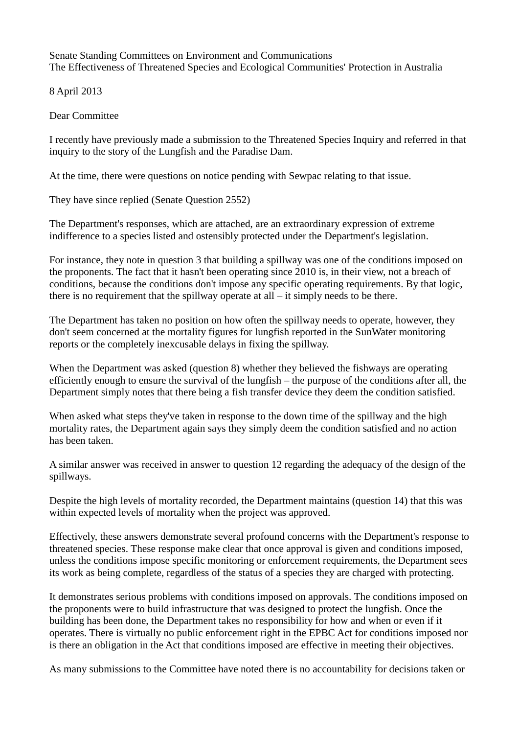Senate Standing Committees on Environment and Communications The Effectiveness of Threatened Species and Ecological Communities' Protection in Australia

8 April 2013

Dear Committee

I recently have previously made a submission to the Threatened Species Inquiry and referred in that inquiry to the story of the Lungfish and the Paradise Dam.

At the time, there were questions on notice pending with Sewpac relating to that issue.

They have since replied (Senate Question 2552)

The Department's responses, which are attached, are an extraordinary expression of extreme indifference to a species listed and ostensibly protected under the Department's legislation.

For instance, they note in question 3 that building a spillway was one of the conditions imposed on the proponents. The fact that it hasn't been operating since 2010 is, in their view, not a breach of conditions, because the conditions don't impose any specific operating requirements. By that logic, there is no requirement that the spillway operate at all – it simply needs to be there.

The Department has taken no position on how often the spillway needs to operate, however, they don't seem concerned at the mortality figures for lungfish reported in the SunWater monitoring reports or the completely inexcusable delays in fixing the spillway.

When the Department was asked (question 8) whether they believed the fishways are operating efficiently enough to ensure the survival of the lungfish – the purpose of the conditions after all, the Department simply notes that there being a fish transfer device they deem the condition satisfied.

When asked what steps they've taken in response to the down time of the spillway and the high mortality rates, the Department again says they simply deem the condition satisfied and no action has been taken.

A similar answer was received in answer to question 12 regarding the adequacy of the design of the spillways.

Despite the high levels of mortality recorded, the Department maintains (question 14) that this was within expected levels of mortality when the project was approved.

Effectively, these answers demonstrate several profound concerns with the Department's response to threatened species. These response make clear that once approval is given and conditions imposed, unless the conditions impose specific monitoring or enforcement requirements, the Department sees its work as being complete, regardless of the status of a species they are charged with protecting.

It demonstrates serious problems with conditions imposed on approvals. The conditions imposed on the proponents were to build infrastructure that was designed to protect the lungfish. Once the building has been done, the Department takes no responsibility for how and when or even if it operates. There is virtually no public enforcement right in the EPBC Act for conditions imposed nor is there an obligation in the Act that conditions imposed are effective in meeting their objectives.

As many submissions to the Committee have noted there is no accountability for decisions taken or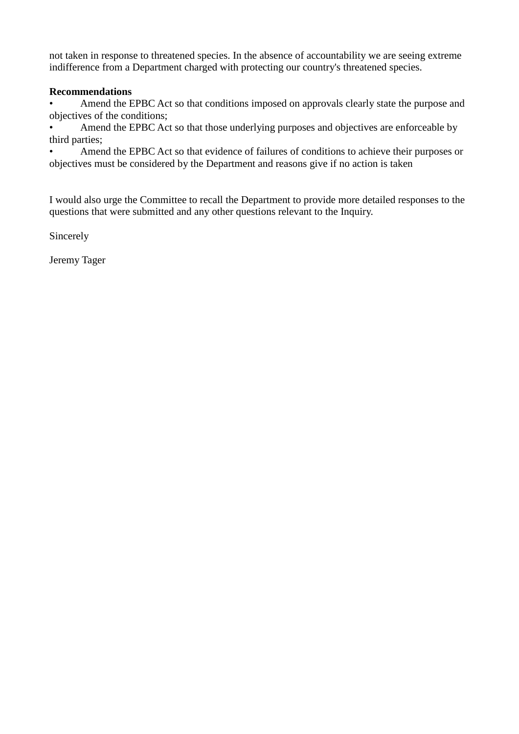not taken in response to threatened species. In the absence of accountability we are seeing extreme indifference from a Department charged with protecting our country's threatened species.

## **Recommendations**

• Amend the EPBC Act so that conditions imposed on approvals clearly state the purpose and objectives of the conditions;

• Amend the EPBC Act so that those underlying purposes and objectives are enforceable by third parties;

• Amend the EPBC Act so that evidence of failures of conditions to achieve their purposes or objectives must be considered by the Department and reasons give if no action is taken

I would also urge the Committee to recall the Department to provide more detailed responses to the questions that were submitted and any other questions relevant to the Inquiry.

Sincerely

Jeremy Tager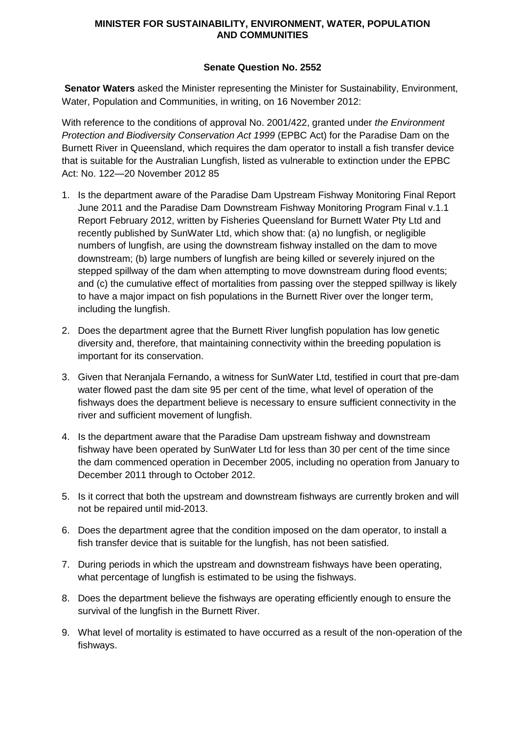## **MINISTER FOR SUSTAINABILITY, ENVIRONMENT, WATER, POPULATION AND COMMUNITIES**

## **Senate Question No. 2552**

**Senator Waters** asked the Minister representing the Minister for Sustainability, Environment, Water, Population and Communities, in writing, on 16 November 2012:

With reference to the conditions of approval No. 2001/422, granted under *the Environment Protection and Biodiversity Conservation Act 1999* (EPBC Act) for the Paradise Dam on the Burnett River in Queensland, which requires the dam operator to install a fish transfer device that is suitable for the Australian Lungfish, listed as vulnerable to extinction under the EPBC Act: No. 122—20 November 2012 85

- 1. Is the department aware of the Paradise Dam Upstream Fishway Monitoring Final Report June 2011 and the Paradise Dam Downstream Fishway Monitoring Program Final v.1.1 Report February 2012, written by Fisheries Queensland for Burnett Water Pty Ltd and recently published by SunWater Ltd, which show that: (a) no lungfish, or negligible numbers of lungfish, are using the downstream fishway installed on the dam to move downstream; (b) large numbers of lungfish are being killed or severely injured on the stepped spillway of the dam when attempting to move downstream during flood events; and (c) the cumulative effect of mortalities from passing over the stepped spillway is likely to have a major impact on fish populations in the Burnett River over the longer term, including the lungfish.
- 2. Does the department agree that the Burnett River lungfish population has low genetic diversity and, therefore, that maintaining connectivity within the breeding population is important for its conservation.
- 3. Given that Neranjala Fernando, a witness for SunWater Ltd, testified in court that pre-dam water flowed past the dam site 95 per cent of the time, what level of operation of the fishways does the department believe is necessary to ensure sufficient connectivity in the river and sufficient movement of lungfish.
- 4. Is the department aware that the Paradise Dam upstream fishway and downstream fishway have been operated by SunWater Ltd for less than 30 per cent of the time since the dam commenced operation in December 2005, including no operation from January to December 2011 through to October 2012.
- 5. Is it correct that both the upstream and downstream fishways are currently broken and will not be repaired until mid-2013.
- 6. Does the department agree that the condition imposed on the dam operator, to install a fish transfer device that is suitable for the lungfish, has not been satisfied.
- 7. During periods in which the upstream and downstream fishways have been operating, what percentage of lungfish is estimated to be using the fishways.
- 8. Does the department believe the fishways are operating efficiently enough to ensure the survival of the lungfish in the Burnett River.
- 9. What level of mortality is estimated to have occurred as a result of the non-operation of the fishways.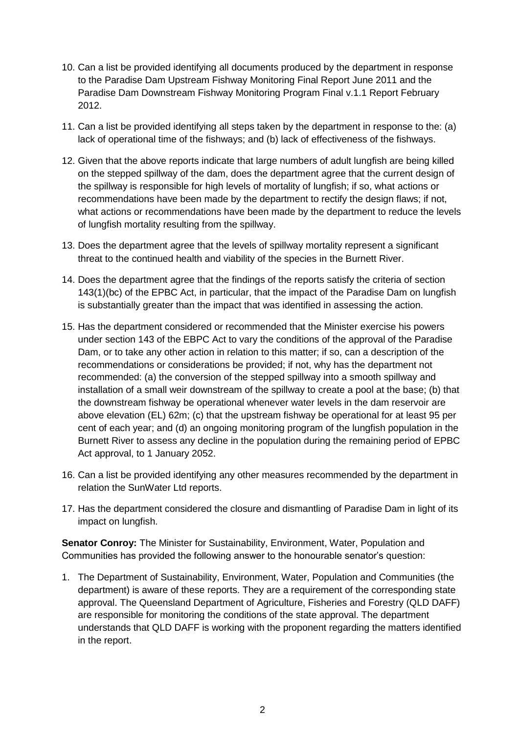- 10. Can a list be provided identifying all documents produced by the department in response to the Paradise Dam Upstream Fishway Monitoring Final Report June 2011 and the Paradise Dam Downstream Fishway Monitoring Program Final v.1.1 Report February 2012.
- 11. Can a list be provided identifying all steps taken by the department in response to the: (a) lack of operational time of the fishways; and (b) lack of effectiveness of the fishways.
- 12. Given that the above reports indicate that large numbers of adult lungfish are being killed on the stepped spillway of the dam, does the department agree that the current design of the spillway is responsible for high levels of mortality of lungfish; if so, what actions or recommendations have been made by the department to rectify the design flaws; if not, what actions or recommendations have been made by the department to reduce the levels of lungfish mortality resulting from the spillway.
- 13. Does the department agree that the levels of spillway mortality represent a significant threat to the continued health and viability of the species in the Burnett River.
- 14. Does the department agree that the findings of the reports satisfy the criteria of section 143(1)(bc) of the EPBC Act, in particular, that the impact of the Paradise Dam on lungfish is substantially greater than the impact that was identified in assessing the action.
- 15. Has the department considered or recommended that the Minister exercise his powers under section 143 of the EBPC Act to vary the conditions of the approval of the Paradise Dam, or to take any other action in relation to this matter; if so, can a description of the recommendations or considerations be provided; if not, why has the department not recommended: (a) the conversion of the stepped spillway into a smooth spillway and installation of a small weir downstream of the spillway to create a pool at the base; (b) that the downstream fishway be operational whenever water levels in the dam reservoir are above elevation (EL) 62m; (c) that the upstream fishway be operational for at least 95 per cent of each year; and (d) an ongoing monitoring program of the lungfish population in the Burnett River to assess any decline in the population during the remaining period of EPBC Act approval, to 1 January 2052.
- 16. Can a list be provided identifying any other measures recommended by the department in relation the SunWater Ltd reports.
- 17. Has the department considered the closure and dismantling of Paradise Dam in light of its impact on lungfish.

**Senator Conroy:** The Minister for Sustainability, Environment, Water, Population and Communities has provided the following answer to the honourable senator's question:

1. The Department of Sustainability, Environment, Water, Population and Communities (the department) is aware of these reports. They are a requirement of the corresponding state approval. The Queensland Department of Agriculture, Fisheries and Forestry (QLD DAFF) are responsible for monitoring the conditions of the state approval. The department understands that QLD DAFF is working with the proponent regarding the matters identified in the report.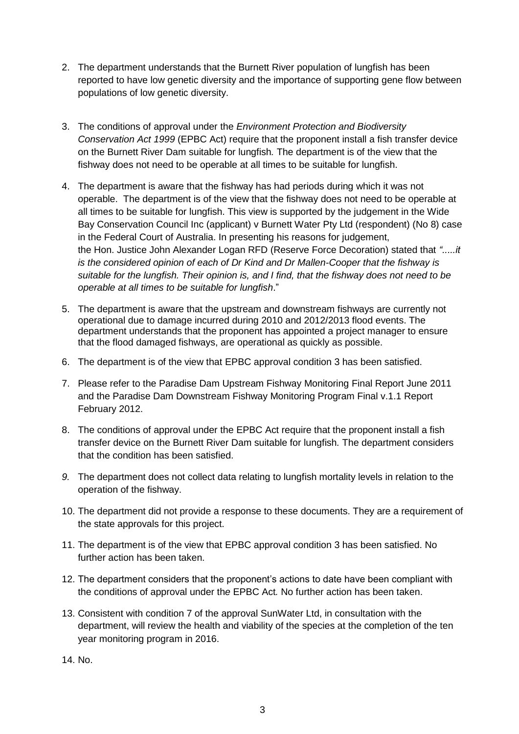- 2. The department understands that the Burnett River population of lungfish has been reported to have low genetic diversity and the importance of supporting gene flow between populations of low genetic diversity.
- 3. The conditions of approval under the *Environment Protection and Biodiversity Conservation Act 1999* (EPBC Act) require that the proponent install a fish transfer device on the Burnett River Dam suitable for lungfish*.* The department is of the view that the fishway does not need to be operable at all times to be suitable for lungfish.
- 4. The department is aware that the fishway has had periods during which it was not operable. The department is of the view that the fishway does not need to be operable at all times to be suitable for lungfish. This view is supported by the judgement in the Wide Bay Conservation Council Inc (applicant) v Burnett Water Pty Ltd (respondent) (No 8) case in the Federal Court of Australia. In presenting his reasons for judgement, the Hon. Justice John Alexander Logan RFD (Reserve Force Decoration) stated that *".....it is the considered opinion of each of Dr Kind and Dr Mallen-Cooper that the fishway is suitable for the lungfish. Their opinion is, and I find, that the fishway does not need to be operable at all times to be suitable for lungfish*."
- 5. The department is aware that the upstream and downstream fishways are currently not operational due to damage incurred during 2010 and 2012/2013 flood events. The department understands that the proponent has appointed a project manager to ensure that the flood damaged fishways, are operational as quickly as possible.
- 6. The department is of the view that EPBC approval condition 3 has been satisfied.
- 7. Please refer to the Paradise Dam Upstream Fishway Monitoring Final Report June 2011 and the Paradise Dam Downstream Fishway Monitoring Program Final v.1.1 Report February 2012.
- 8. The conditions of approval under the EPBC Act require that the proponent install a fish transfer device on the Burnett River Dam suitable for lungfish*.* The department considers that the condition has been satisfied.
- *9.* The department does not collect data relating to lungfish mortality levels in relation to the operation of the fishway.
- 10. The department did not provide a response to these documents. They are a requirement of the state approvals for this project.
- 11. The department is of the view that EPBC approval condition 3 has been satisfied. No further action has been taken.
- 12. The department considers that the proponent's actions to date have been compliant with the conditions of approval under th*e* EPBC Act*.* No further action has been taken.
- 13. Consistent with condition 7 of the approval SunWater Ltd, in consultation with the department, will review the health and viability of the species at the completion of the ten year monitoring program in 2016.

14. No.